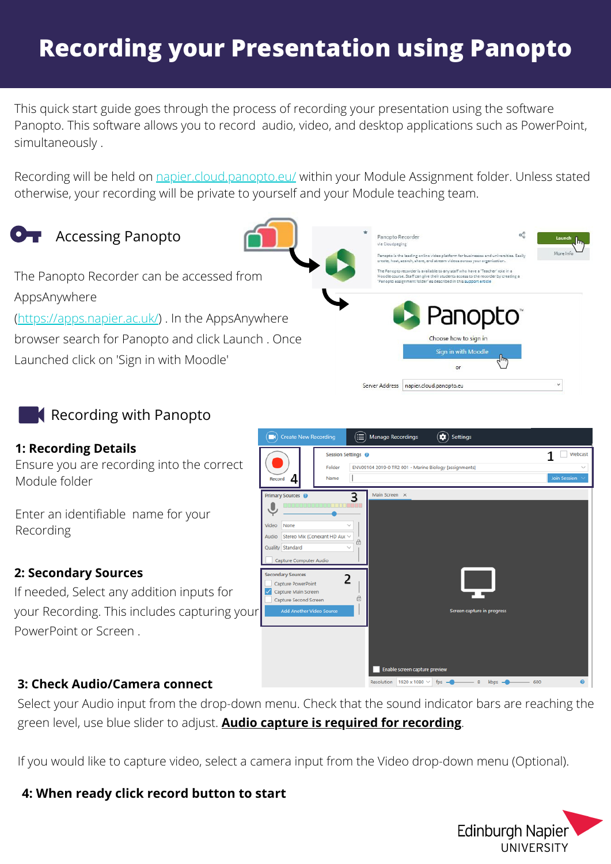# **Recording your Presentation using Panopto**

This quick start guide goes through the process of recording your presentation using the software Panopto. This software allows you to record audio, video, and desktop applications such as PowerPoint, simultaneously .

Recording will be held on [napier.cloud.panopto.eu/](http://www.napier.cloud.panopto.eu/) within your Module Assignment folder. Unless stated otherwise, your recording will be private to yourself and your Module teaching team.

 $\Box$  Create New Re



The Panopto Recorder can be accessed from AppsAnywhere [\(https://apps.napier.ac.uk/](https://apps.napier.ac.uk/)) . In the AppsAnywhere browser search for Panopto and click Launch . Once Launched click on 'Sign in with Moodle'



(C) Settings

## Recording with Panopto

#### **1: Recording Details**

Ensure you are recording into the correct Module folder

Enter an identifiable name for your Recording

### **2: Secondary Sources**

If needed, Select any addition inputs for your Recording. This includes capturing your PowerPoint or Screen .



 $(\equiv)$  Manage Recordings

## **3: Check Audio/Camera connect**

Select your Audio input from the drop-down menu. Check that the sound indicator bars are reaching the green level, use blue slider to adjust. **Audio capture is required for recording**.

If you would like to capture video, select a camera input from the Video drop-down menu (Optional).

### **4: When ready click record button to start**

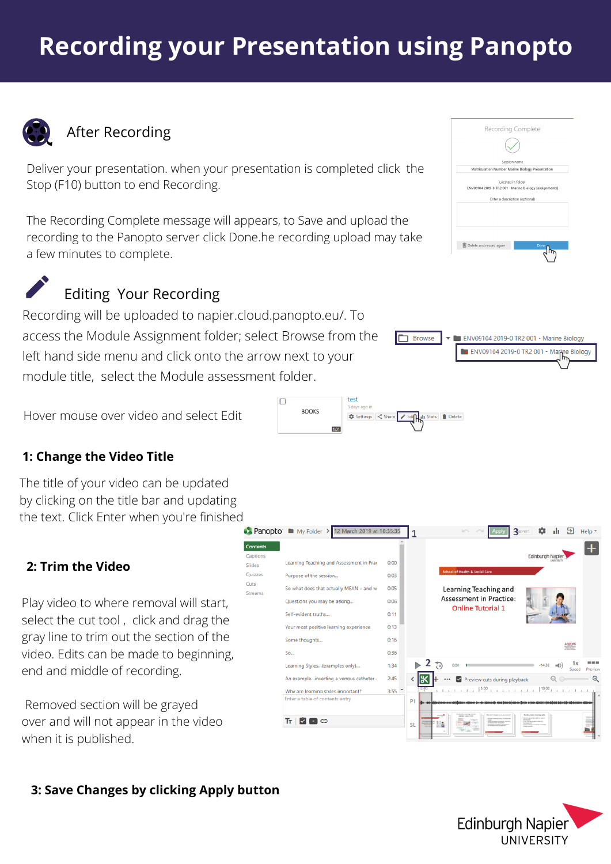# **Recording your Presentation using Panopto**



## After Recording

Deliver your presentation. when your presentation is completed click the Stop (F10) button to end Recording.

The Recording Complete message will appears, to Save and upload the recording to the Panopto server click Done.he recording upload may take a few minutes to complete.

 $\Box$ 



# Editing Your Recording

Recording will be uploaded to napier.cloud.panopto.eu/. To access the Module Assignment folder; select Browse from the left hand side menu and click onto the arrow next to your module title, select the Module assessment folder.

Hover mouse over video and select Edit

## **1: Change the Video Title**

The title of your video can be updated by clicking on the title bar and updating the text. Click Enter when you're finished

### **2: Trim the Video**

Play video to where removal will start, select the cut tool , click and drag the gray line to trim out the section of the video. Edits can be made to beginning, end and middle of recording.

Removed section will be grayed over and will not appear in the video when it is published.



### **3: Save Changes by clicking Apply button**